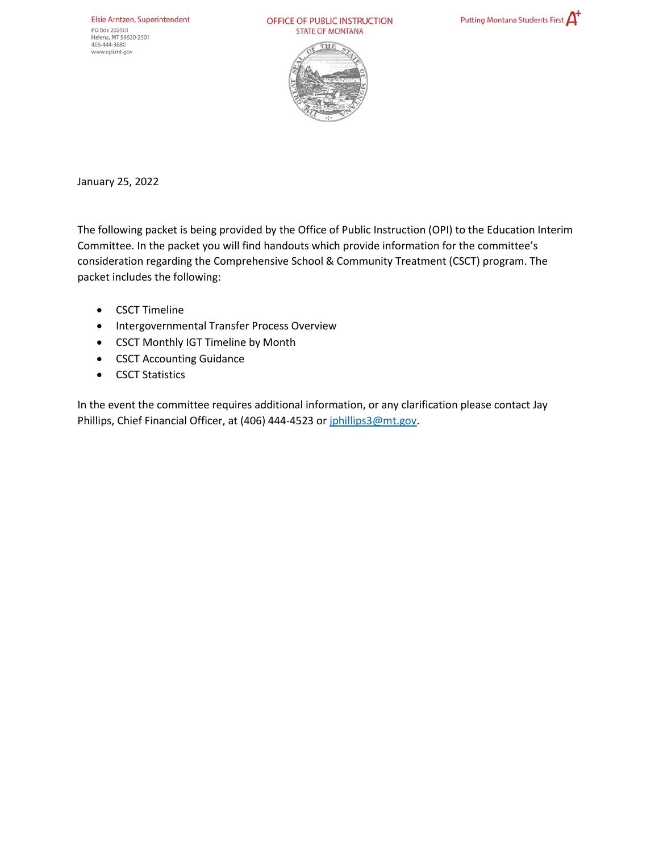Elsie Arntzen, Superintendent PO Box 202501 Helena, MT 59620-2501 406-444-3680 www.opi.mt.gov

OFFICE OF PUBLIC INSTRUCTION **STATE OF MONTANA** 





January 25, 2022

The following packet is being provided by the Office of Public Instruction (OPI) to the Education Interim Committee. In the packet you will find handouts which provide information for the committee's consideration regarding the Comprehensive School & Community Treatment (CSCT) program. The packet includes the following:

- CSCT Timeline
- Intergovernmental Transfer Process Overview
- CSCT Monthly IGT Timeline by Month
- CSCT Accounting Guidance
- CSCT Statistics

In the event the committee requires additional information, or any clarification please contact Jay Phillips, Chief Financial Officer, at (406) 444-4523 or [jphillips3@mt.gov.](mailto:jphillips3@mt.gov)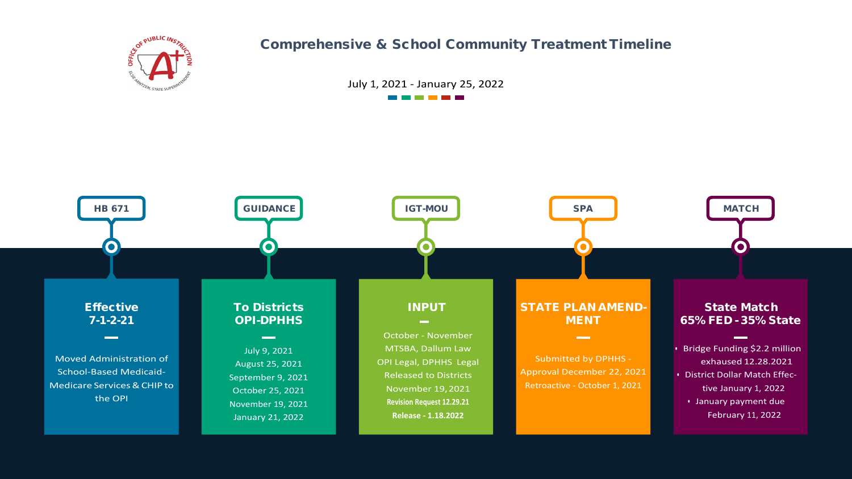

# Comprehensive & School Community Treatment Timeline

July 1, 2021 - January 25, 2022

--------



- **Bridge Funding \$2.2 million** exhaused 12.28.2021
- District Dollar Match Effective January 1, 2022
	- January payment due February 11, 2022

## STATE PLAN AMEND-MENT

**Contract** 

**SPA** 

Submitted by DPHHS -Approval December 22, 2021 Retroactive - October 1, 2021

### State Match 65% FED - 35% State

**MATCH**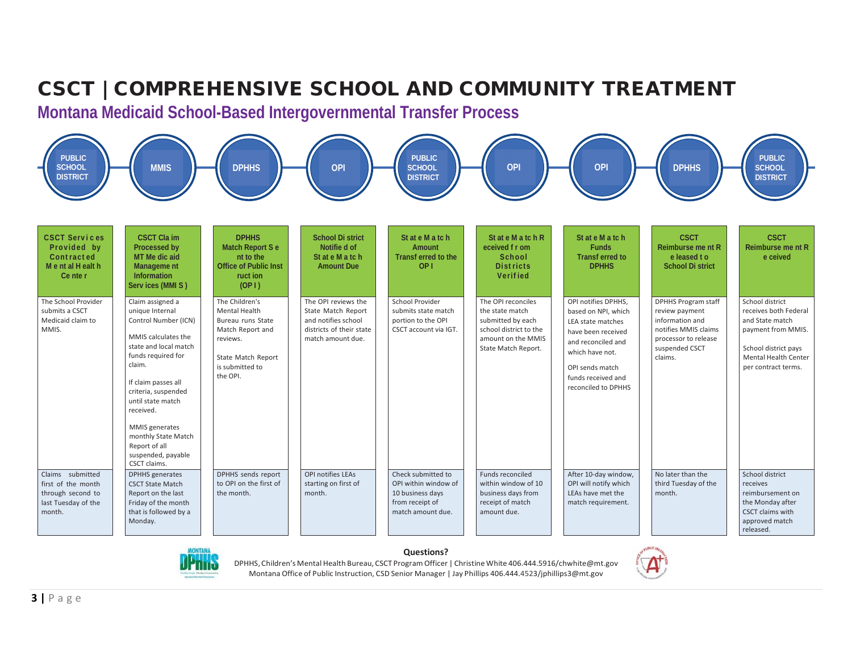### CSCT | COMPREHENSIVE SCHOOL AND COMMUNITY TREATMENT

**Montana Medicaid School-Based Intergovernmental Transfer Process**

| <b>PUBLIC</b><br><b>SCHOOL</b><br><b>DISTRICT</b>                                            | <b>MMIS</b>                                                                                                                                                                                                                                                                                                                 | <b>DPHHS</b>                                                                                                                              | <b>OPI</b>                                                                                                        | <b>PUBLIC</b><br><b>SCHOOL</b><br><b>DISTRICT</b>                                                      | <b>OPI</b>                                                                                                                        | <b>OPI</b>                                                                                                                                                                                     | <b>DPHHS</b>                                                                                                                                 | <b>PUBLIC</b><br><b>SCHOOL</b><br><b>DISTRICT</b>                                                                                                               |
|----------------------------------------------------------------------------------------------|-----------------------------------------------------------------------------------------------------------------------------------------------------------------------------------------------------------------------------------------------------------------------------------------------------------------------------|-------------------------------------------------------------------------------------------------------------------------------------------|-------------------------------------------------------------------------------------------------------------------|--------------------------------------------------------------------------------------------------------|-----------------------------------------------------------------------------------------------------------------------------------|------------------------------------------------------------------------------------------------------------------------------------------------------------------------------------------------|----------------------------------------------------------------------------------------------------------------------------------------------|-----------------------------------------------------------------------------------------------------------------------------------------------------------------|
|                                                                                              |                                                                                                                                                                                                                                                                                                                             |                                                                                                                                           |                                                                                                                   |                                                                                                        |                                                                                                                                   |                                                                                                                                                                                                |                                                                                                                                              |                                                                                                                                                                 |
| <b>CSCT Services</b><br>Provided by<br>Contracted<br>Mental Health<br>Ce nte r               | <b>CSCT Cla im</b><br>Processed by<br>MT Me dic aid<br>Manageme nt<br><b>Information</b><br>Serv ices (MMIS)                                                                                                                                                                                                                | <b>DPHHS</b><br>Match Report S e<br>nt to the<br><b>Office of Public Inst</b><br>ruct ion<br>(OPI)                                        | <b>School Di strict</b><br>Notifie d of<br>State Match<br><b>Amount Due</b>                                       | State Match<br>Amount<br>Transf erred to the<br>OP <sub>1</sub>                                        | State Match R<br>eceived f r om<br>School<br><b>Districts</b><br>Verified                                                         | State Match<br><b>Funds</b><br><b>Transf erred to</b><br><b>DPHHS</b>                                                                                                                          | <b>CSCT</b><br>Reimburse me nt R<br>e leased to<br><b>School Di strict</b>                                                                   | <b>CSCT</b><br>Reimburse me nt R<br>e ceived                                                                                                                    |
| The School Provider<br>submits a CSCT<br>Medicaid claim to<br>MMIS.                          | Claim assigned a<br>unique Internal<br>Control Number (ICN)<br>MMIS calculates the<br>state and local match<br>funds required for<br>claim.<br>If claim passes all<br>criteria, suspended<br>until state match<br>received.<br>MMIS generates<br>monthly State Match<br>Report of all<br>suspended, payable<br>CSCT claims. | The Children's<br>Mental Health<br>Bureau runs State<br>Match Report and<br>reviews.<br>State Match Report<br>is submitted to<br>the OPI. | The OPI reviews the<br>State Match Report<br>and notifies school<br>districts of their state<br>match amount due. | School Provider<br>submits state match<br>portion to the OPI<br>CSCT account via IGT.                  | The OPI reconciles<br>the state match<br>submitted by each<br>school district to the<br>amount on the MMIS<br>State Match Report. | OPI notifies DPHHS,<br>based on NPI, which<br>LEA state matches<br>have been received<br>and reconciled and<br>which have not.<br>OPI sends match<br>funds received and<br>reconciled to DPHHS | <b>DPHHS Program staff</b><br>review payment<br>information and<br>notifies MMIS claims<br>processor to release<br>suspended CSCT<br>claims. | School district<br>receives both Federal<br>and State match<br>payment from MMIS.<br>School district pays<br><b>Mental Health Center</b><br>per contract terms. |
| Claims submitted<br>first of the month<br>through second to<br>last Tuesday of the<br>month. | <b>DPHHS</b> generates<br><b>CSCT State Match</b><br>Report on the last<br>Friday of the month<br>that is followed by a<br>Monday.                                                                                                                                                                                          | DPHHS sends report<br>to OPI on the first of<br>the month.                                                                                | OPI notifies LEAs<br>starting on first of<br>month.                                                               | Check submitted to<br>OPI within window of<br>10 business days<br>from receipt of<br>match amount due. | Funds reconciled<br>within window of 10<br>business days from<br>receipt of match<br>amount due.                                  | After 10-day window,<br>OPI will notify which<br>LEAs have met the<br>match requirement.                                                                                                       | No later than the<br>third Tuesday of the<br>month.                                                                                          | School district<br>receives<br>reimbursement on<br>the Monday after<br>CSCT claims with<br>approved match<br>released.                                          |



#### **Questions?**

DPHHS, Children's Mental Health Bureau, CSCT ProgramOfficer | Christine White [406.444.5916/chwhite@mt.gov](mailto:406.444.5916/chwhite@mt.gov) Montana Office of Public Instruction, CSD Senior Manager | Jay Phillips [406.444.4523/jphillips3@mt.gov](mailto:406.444.4523/jphillips3@mt.gov)

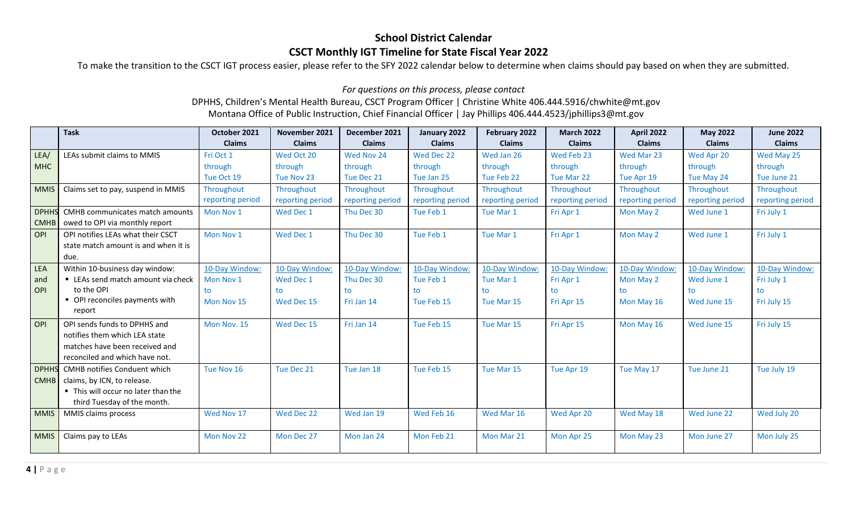#### **School District Calendar CSCT Monthly IGT Timeline for State Fiscal Year 2022**

To make the transition to the CSCT IGT process easier, please refer to the SFY 2022 calendar below to determine when claims should pay based on when they are submitted.

*For questions on this process, please contact*

DPHHS, Children's Mental Health Bureau, CSCT Program Officer | Christine White [406.444.5916/](mailto:406.444.5916/chwhite@mt.gov)[chwhite@mt.gov](mailto:chwhite@mt.gov) Montana Office of Public Instruction, Chief Financial Officer | Jay Phillips [406.444.452](mailto:406.444.4523/jphillips3@mt.gov)[3/jphillips3@mt.gov](mailto:3/jphillips3@mt.gov)

|              | <b>Task</b>                          | October 2021<br><b>Claims</b> | November 2021<br><b>Claims</b> | December 2021<br><b>Claims</b> | January 2022<br><b>Claims</b> | February 2022<br><b>Claims</b> | <b>March 2022</b><br><b>Claims</b> | <b>April 2022</b><br><b>Claims</b> | <b>May 2022</b><br><b>Claims</b> | <b>June 2022</b><br><b>Claims</b> |
|--------------|--------------------------------------|-------------------------------|--------------------------------|--------------------------------|-------------------------------|--------------------------------|------------------------------------|------------------------------------|----------------------------------|-----------------------------------|
| LEA/         | LEAs submit claims to MMIS           | Fri Oct 1                     | Wed Oct 20                     | Wed Nov 24                     | Wed Dec 22                    | Wed Jan 26                     | Wed Feb 23                         | Wed Mar 23                         | Wed Apr 20                       | Wed May 25                        |
| <b>MHC</b>   |                                      | through                       | through                        | through                        | through                       | through                        | through                            | through                            | through                          | through                           |
|              |                                      | Tue Oct 19                    | Tue Nov 23                     | Tue Dec 21                     | Tue Jan 25                    | Tue Feb 22                     | Tue Mar 22                         | Tue Apr 19                         | Tue May 24                       | Tue June 21                       |
| <b>MMIS</b>  | Claims set to pay, suspend in MMIS   | Throughout                    | Throughout                     | Throughout                     | Throughout                    | Throughout                     | Throughout                         | Throughout                         | Throughout                       | Throughout                        |
|              |                                      | reporting period              | reporting period               | reporting period               | reporting period              | reporting period               | reporting period                   | reporting period                   | reporting period                 | reporting period                  |
| <b>DPHHS</b> | CMHB communicates match amounts      | Mon Nov 1                     | Wed Dec 1                      | Thu Dec 30                     | Tue Feb 1                     | Tue Mar 1                      | Fri Apr 1                          | Mon May 2                          | Wed June 1                       | Fri July 1                        |
| <b>CMHB</b>  | owed to OPI via monthly report       |                               |                                |                                |                               |                                |                                    |                                    |                                  |                                   |
| OPI          | OPI notifies LEAs what their CSCT    | Mon Nov 1                     | Wed Dec 1                      | Thu Dec 30                     | Tue Feb 1                     | Tue Mar 1                      | Fri Apr 1                          | Mon May 2                          | Wed June 1                       | Fri July 1                        |
|              | state match amount is and when it is |                               |                                |                                |                               |                                |                                    |                                    |                                  |                                   |
|              | due.                                 |                               |                                |                                |                               |                                |                                    |                                    |                                  |                                   |
| <b>LEA</b>   | Within 10-business day window:       | 10-Day Window:                | 10-Day Window:                 | 10-Day Window:                 | 10-Day Window:                | 10-Day Window:                 | 10-Day Window:                     | 10-Day Window:                     | 10-Day Window:                   | 10-Day Window:                    |
| and          | ■ LEAs send match amount via check   | Mon Nov 1                     | Wed Dec 1                      | Thu Dec 30                     | Tue Feb 1                     | Tue Mar 1                      | Fri Apr 1                          | Mon May 2                          | Wed June 1                       | Fri July 1                        |
| OPI          | to the OPI                           | to                            | to                             | to                             | to                            | to                             | to                                 | to                                 | to                               | to                                |
|              | • OPI reconciles payments with       | Mon Nov 15                    | Wed Dec 15                     | Fri Jan 14                     | Tue Feb 15                    | Tue Mar 15                     | Fri Apr 15                         | Mon May 16                         | Wed June 15                      | Fri July 15                       |
|              | report                               |                               |                                |                                |                               |                                |                                    |                                    |                                  |                                   |
| OPI          | OPI sends funds to DPHHS and         | Mon Nov. 15                   | Wed Dec 15                     | Fri Jan 14                     | Tue Feb 15                    | Tue Mar 15                     | Fri Apr 15                         | Mon May 16                         | Wed June 15                      | Fri July 15                       |
|              | notifies them which LEA state        |                               |                                |                                |                               |                                |                                    |                                    |                                  |                                   |
|              | matches have been received and       |                               |                                |                                |                               |                                |                                    |                                    |                                  |                                   |
|              | reconciled and which have not.       |                               |                                |                                |                               |                                |                                    |                                    |                                  |                                   |
| <b>DPHH</b>  | <b>CMHB notifies Conduent which</b>  | Tue Nov 16                    | Tue Dec 21                     | Tue Jan 18                     | Tue Feb 15                    | Tue Mar 15                     | Tue Apr 19                         | Tue May 17                         | Tue June 21                      | Tue July 19                       |
| <b>CMHB</b>  | claims, by ICN, to release.          |                               |                                |                                |                               |                                |                                    |                                    |                                  |                                   |
|              | This will occur no later than the    |                               |                                |                                |                               |                                |                                    |                                    |                                  |                                   |
|              | third Tuesday of the month.          |                               |                                |                                |                               |                                |                                    |                                    |                                  |                                   |
| <b>MMIS</b>  | MMIS claims process                  | Wed Nov 17                    | Wed Dec 22                     | Wed Jan 19                     | Wed Feb 16                    | Wed Mar 16                     | Wed Apr 20                         | Wed May 18                         | Wed June 22                      | Wed July 20                       |
| <b>MMIS</b>  | Claims pay to LEAs                   | Mon Nov 22                    | Mon Dec 27                     | Mon Jan 24                     | Mon Feb 21                    | Mon Mar 21                     | Mon Apr 25                         | Mon May 23                         | Mon June 27                      | Mon July 25                       |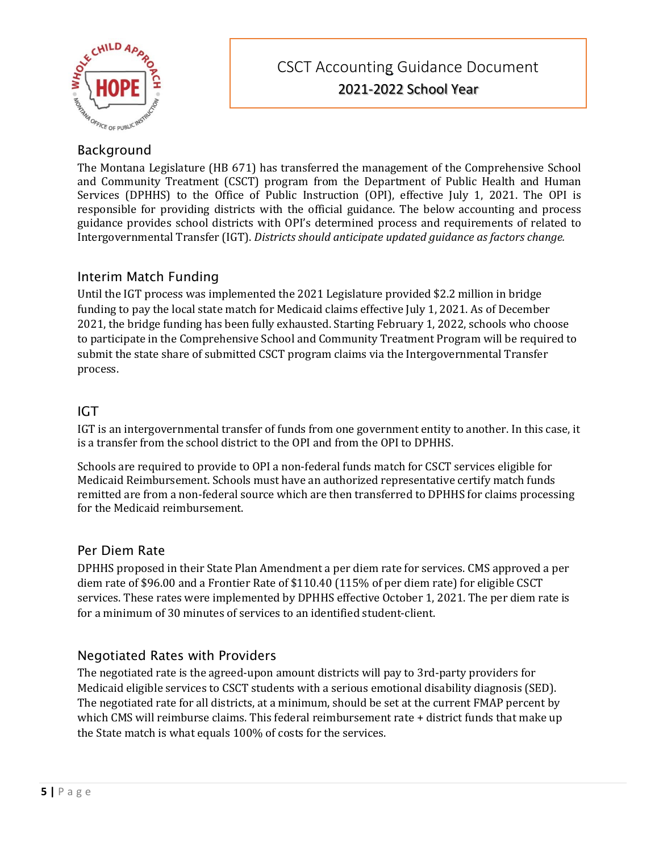

### CSCT Accounting Guidance Document 2021‐2022 School Year

#### Background

The Montana Legislature (HB 671) has transferred the management of the Comprehensive School and Community Treatment (CSCT) program from the Department of Public Health and Human Services (DPHHS) to the Office of Public Instruction (OPI), effective July 1, 2021. The OPI is responsible for providing districts with the official guidance. The below accounting and process guidance provides school districts with OPI's determined process and requirements of related to Intergovernmental Transfer (IGT). *Districts should anticipate updated guidance as factors change.*

#### Interim Match Funding

Until the IGT process was implemented the 2021 Legislature provided \$2.2 million in bridge funding to pay the local state match for Medicaid claims effective July 1, 2021. As of December 2021, the bridge funding has been fully exhausted. Starting February 1, 2022, schools who choose to participate in the Comprehensive School and Community Treatment Program will be required to submit the state share of submitted CSCT program claims via the Intergovernmental Transfer process.

#### IGT

IGT is an intergovernmental transfer of funds from one government entity to another. In this case, it is a transfer from the school district to the OPI and from the OPI to DPHHS.

Schools are required to provide to OPI a non-federal funds match for CSCT services eligible for Medicaid Reimbursement. Schools must have an authorized representative certify match funds remitted are from a non-federal source which are then transferred to DPHHS for claims processing for the Medicaid reimbursement.

#### Per Diem Rate

DPHHS proposed in their State Plan Amendment a per diem rate for services. CMS approved a per diem rate of \$96.00 and a Frontier Rate of \$110.40 (115% of per diem rate) for eligible CSCT services. These rates were implemented by DPHHS effective October 1, 2021. The per diem rate is for a minimum of 30 minutes of services to an identified student-client.

#### Negotiated Rates with Providers

The negotiated rate is the agreed-upon amount districts will pay to 3rd-party providers for Medicaid eligible services to CSCT students with a serious emotional disability diagnosis (SED). The negotiated rate for all districts, at a minimum, should be set at the current FMAP percent by which CMS will reimburse claims. This federal reimbursement rate + district funds that make up the State match is what equals 100% of costs for the services.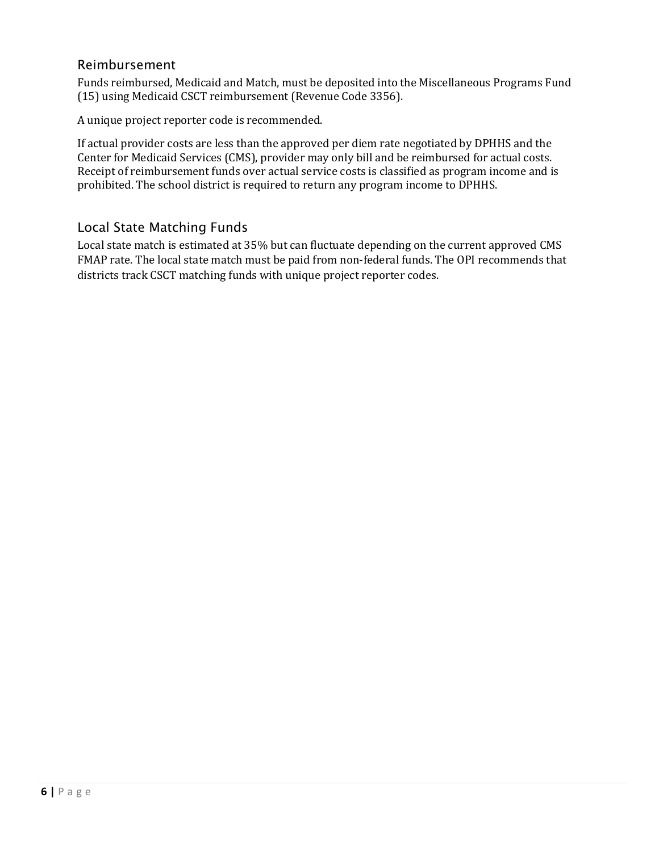#### Reimbursement

Funds reimbursed, Medicaid and Match, must be deposited into the Miscellaneous Programs Fund (15) using Medicaid CSCT reimbursement (Revenue Code 3356).

A unique project reporter code is recommended.

If actual provider costs are less than the approved per diem rate negotiated by DPHHS and the Center for Medicaid Services (CMS), provider may only bill and be reimbursed for actual costs. Receipt of reimbursement funds over actual service costs is classified as program income and is prohibited. The school district is required to return any program income to DPHHS.

#### Local State Matching Funds

Local state match is estimated at 35% but can fluctuate depending on the current approved CMS FMAP rate. The local state match must be paid from non-federal funds. The OPI recommends that districts track CSCT matching funds with unique project reporter codes.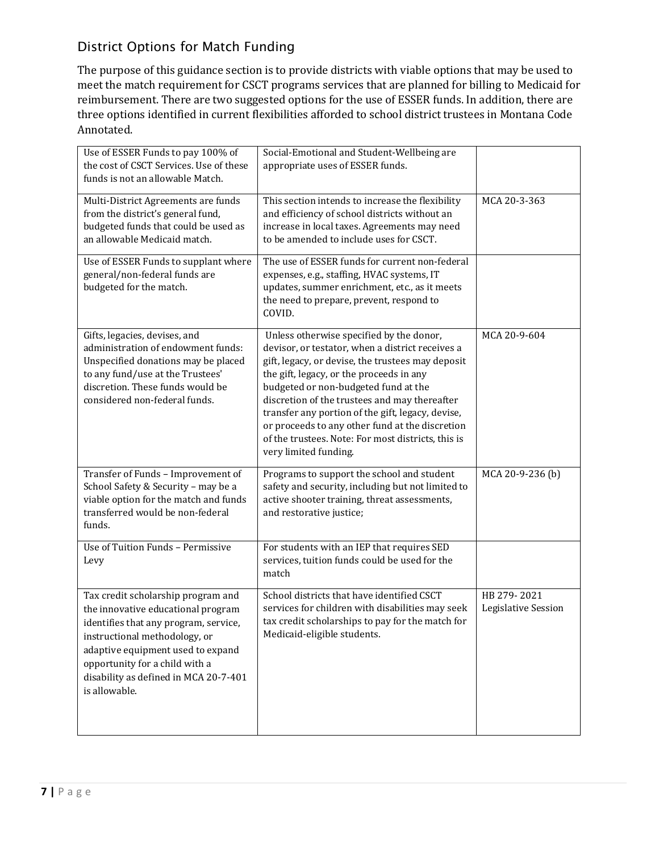#### District Options for Match Funding

The purpose of this guidance section is to provide districts with viable options that may be used to meet the match requirement for CSCT programs services that are planned for billing to Medicaid for reimbursement. There are two suggested options for the use of ESSER funds. In addition, there are three options identified in current flexibilities afforded to school district trustees in Montana Code Annotated.

| Use of ESSER Funds to pay 100% of<br>the cost of CSCT Services. Use of these<br>funds is not an allowable Match.                                                                                                                                                                    | Social-Emotional and Student-Wellbeing are<br>appropriate uses of ESSER funds.                                                                                                                                                                                                                                                                                                                                                                                                |                                    |
|-------------------------------------------------------------------------------------------------------------------------------------------------------------------------------------------------------------------------------------------------------------------------------------|-------------------------------------------------------------------------------------------------------------------------------------------------------------------------------------------------------------------------------------------------------------------------------------------------------------------------------------------------------------------------------------------------------------------------------------------------------------------------------|------------------------------------|
| Multi-District Agreements are funds<br>from the district's general fund,<br>budgeted funds that could be used as<br>an allowable Medicaid match.                                                                                                                                    | This section intends to increase the flexibility<br>and efficiency of school districts without an<br>increase in local taxes. Agreements may need<br>to be amended to include uses for CSCT.                                                                                                                                                                                                                                                                                  | MCA 20-3-363                       |
| Use of ESSER Funds to supplant where<br>general/non-federal funds are<br>budgeted for the match.                                                                                                                                                                                    | The use of ESSER funds for current non-federal<br>expenses, e.g., staffing, HVAC systems, IT<br>updates, summer enrichment, etc., as it meets<br>the need to prepare, prevent, respond to<br>COVID.                                                                                                                                                                                                                                                                           |                                    |
| Gifts, legacies, devises, and<br>administration of endowment funds:<br>Unspecified donations may be placed<br>to any fund/use at the Trustees'<br>discretion. These funds would be<br>considered non-federal funds.                                                                 | Unless otherwise specified by the donor,<br>devisor, or testator, when a district receives a<br>gift, legacy, or devise, the trustees may deposit<br>the gift, legacy, or the proceeds in any<br>budgeted or non-budgeted fund at the<br>discretion of the trustees and may thereafter<br>transfer any portion of the gift, legacy, devise,<br>or proceeds to any other fund at the discretion<br>of the trustees. Note: For most districts, this is<br>very limited funding. | MCA 20-9-604                       |
| Transfer of Funds - Improvement of<br>School Safety & Security - may be a<br>viable option for the match and funds<br>transferred would be non-federal<br>funds.                                                                                                                    | Programs to support the school and student<br>safety and security, including but not limited to<br>active shooter training, threat assessments,<br>and restorative justice;                                                                                                                                                                                                                                                                                                   | MCA 20-9-236 (b)                   |
| Use of Tuition Funds - Permissive<br>Levy                                                                                                                                                                                                                                           | For students with an IEP that requires SED<br>services, tuition funds could be used for the<br>match                                                                                                                                                                                                                                                                                                                                                                          |                                    |
| Tax credit scholarship program and<br>the innovative educational program<br>identifies that any program, service,<br>instructional methodology, or<br>adaptive equipment used to expand<br>opportunity for a child with a<br>disability as defined in MCA 20-7-401<br>is allowable. | School districts that have identified CSCT<br>services for children with disabilities may seek<br>tax credit scholarships to pay for the match for<br>Medicaid-eligible students.                                                                                                                                                                                                                                                                                             | HB 279-2021<br>Legislative Session |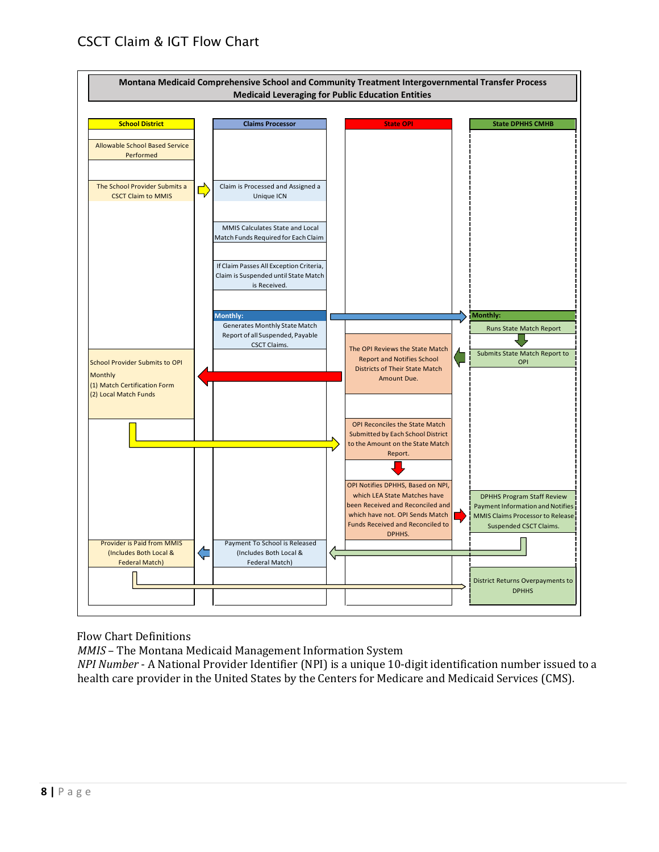#### CSCT Claim & IGT Flow Chart



Flow Chart Definitions

*MMIS* – The Montana Medicaid Management Information System

*NPI Number* - A National Provider Identifier (NPI) is a unique 10-digit identification number issued to a health care provider in the United States by the Centers for Medicare and Medicaid Services (CMS).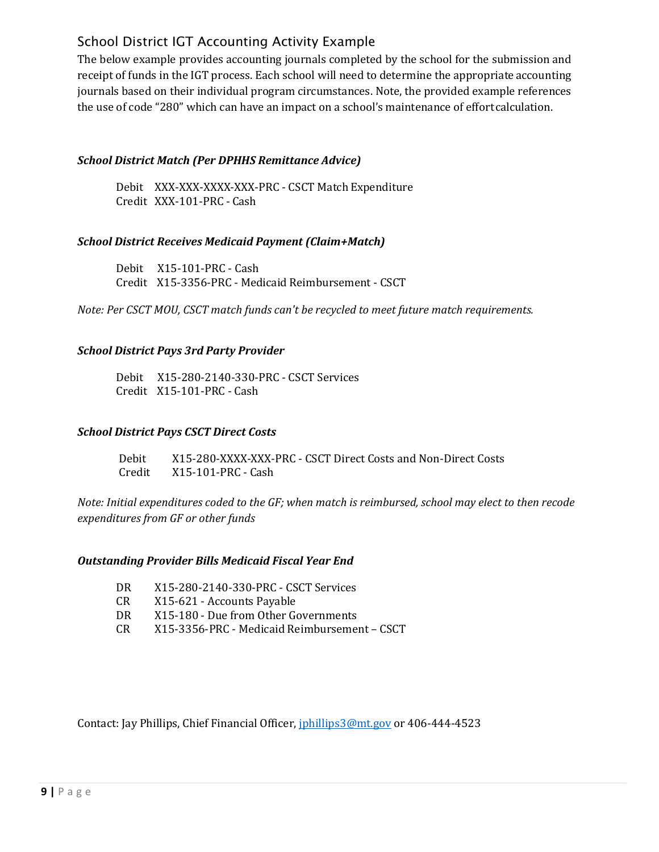#### School District IGT Accounting Activity Example

The below example provides accounting journals completed by the school for the submission and receipt of funds in the IGT process. Each school will need to determine the appropriate accounting journals based on their individual program circumstances. Note, the provided example references the use of code "280" which can have an impact on a school's maintenance of effortcalculation.

#### *School District Match (Per DPHHS Remittance Advice)*

Debit XXX-XXX-XXXX-XXX-PRC - CSCT Match Expenditure Credit XXX-101-PRC - Cash

#### *School District Receives Medicaid Payment (Claim+Match)*

Debit X15-101-PRC - Cash Credit X15-3356-PRC - Medicaid Reimbursement - CSCT

*Note: Per CSCT MOU, CSCT match funds can't be recycled to meet future match requirements.*

#### *School District Pays 3rd Party Provider*

Debit X15-280-2140-330-PRC - CSCT Services Credit X15-101-PRC - Cash

#### *School District Pays CSCT Direct Costs*

Debit X15-280-XXXX-XXX-PRC - CSCT Direct Costs and Non-Direct Costs X15-101-PRC - Cash

*Note: Initial expenditures coded to the GF; when match is reimbursed, school may elect to then recode expenditures from GF or other funds*

#### *Outstanding Provider Bills Medicaid Fiscal Year End*

- DR X15-280-2140-330-PRC CSCT Services
- CR X15-621 Accounts Payable
- DR X15-180 Due from Other Governments<br>CR X15-3356-PRC Medicaid Reimbursement
- X15-3356-PRC Medicaid Reimbursement CSCT

Contact: Jay Phillips, Chief Financial Officer, [jphillips3@mt.gov](mailto:jphillips3@mt.gov) or 406-444-4523